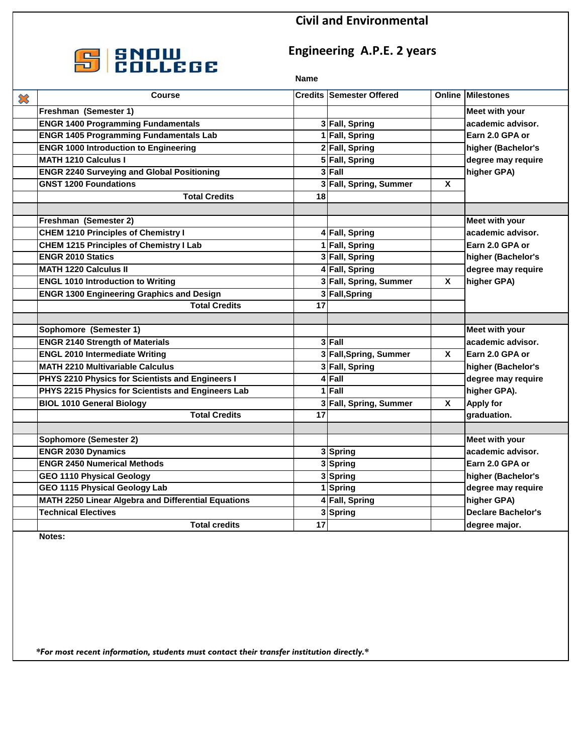### **Civil and Environmental**



## **Engineering A.P.E. 2 years**

#### **Name**

| $\boldsymbol{\mathcal{Z}}$ | <b>Course</b>                                              |                 | <b>Credits Semester Offered</b> |                         | <b>Online Milestones</b>  |
|----------------------------|------------------------------------------------------------|-----------------|---------------------------------|-------------------------|---------------------------|
|                            | Freshman (Semester 1)                                      |                 |                                 |                         | Meet with your            |
|                            | <b>ENGR 1400 Programming Fundamentals</b>                  |                 | 3 Fall, Spring                  |                         | academic advisor.         |
|                            | <b>ENGR 1405 Programming Fundamentals Lab</b>              |                 | 1 Fall, Spring                  |                         | Earn 2.0 GPA or           |
|                            | <b>ENGR 1000 Introduction to Engineering</b>               |                 | 2 Fall, Spring                  |                         | higher (Bachelor's        |
|                            | <b>MATH 1210 Calculus I</b>                                |                 | 5 Fall, Spring                  |                         | degree may require        |
|                            | <b>ENGR 2240 Surveying and Global Positioning</b>          |                 | 3 Fall                          |                         | higher GPA)               |
|                            | <b>GNST 1200 Foundations</b>                               |                 | 3 Fall, Spring, Summer          | X                       |                           |
|                            | <b>Total Credits</b>                                       | 18              |                                 |                         |                           |
|                            |                                                            |                 |                                 |                         |                           |
|                            | Freshman (Semester 2)                                      |                 |                                 |                         | Meet with your            |
|                            | <b>CHEM 1210 Principles of Chemistry I</b>                 |                 | 4 Fall, Spring                  |                         | academic advisor.         |
|                            | <b>CHEM 1215 Principles of Chemistry I Lab</b>             |                 | 1 Fall, Spring                  |                         | Earn 2.0 GPA or           |
|                            | <b>ENGR 2010 Statics</b>                                   |                 | 3 Fall, Spring                  |                         | higher (Bachelor's        |
|                            | <b>MATH 1220 Calculus II</b>                               |                 | 4 Fall, Spring                  |                         | degree may require        |
|                            | <b>ENGL 1010 Introduction to Writing</b>                   |                 | 3 Fall, Spring, Summer          | $\overline{\mathbf{x}}$ | higher GPA)               |
|                            | <b>ENGR 1300 Engineering Graphics and Design</b>           |                 | 3 Fall, Spring                  |                         |                           |
|                            | <b>Total Credits</b>                                       | 17              |                                 |                         |                           |
|                            |                                                            |                 |                                 |                         |                           |
|                            | Sophomore (Semester 1)                                     |                 |                                 |                         | <b>Meet with your</b>     |
|                            | <b>ENGR 2140 Strength of Materials</b>                     |                 | 3 Fall                          |                         | academic advisor.         |
|                            | <b>ENGL 2010 Intermediate Writing</b>                      |                 | 3 Fall, Spring, Summer          | X                       | Earn 2.0 GPA or           |
|                            | <b>MATH 2210 Multivariable Calculus</b>                    |                 | 3 Fall, Spring                  |                         | higher (Bachelor's        |
|                            | PHYS 2210 Physics for Scientists and Engineers I           |                 | 4 Fall                          |                         | degree may require        |
|                            | PHYS 2215 Physics for Scientists and Engineers Lab         |                 | 1 Fall                          |                         | higher GPA).              |
|                            | <b>BIOL 1010 General Biology</b>                           |                 | 3 Fall, Spring, Summer          | $\overline{\mathbf{x}}$ | <b>Apply for</b>          |
|                            | <b>Total Credits</b>                                       | 17              |                                 |                         | graduation.               |
|                            |                                                            |                 |                                 |                         |                           |
|                            | <b>Sophomore (Semester 2)</b>                              |                 |                                 |                         | Meet with your            |
|                            | <b>ENGR 2030 Dynamics</b>                                  |                 | 3 Spring                        |                         | academic advisor.         |
|                            | <b>ENGR 2450 Numerical Methods</b>                         |                 | 3 Spring                        |                         | Earn 2.0 GPA or           |
|                            | <b>GEO 1110 Physical Geology</b>                           |                 | 3 Spring                        |                         | higher (Bachelor's        |
|                            | GEO 1115 Physical Geology Lab                              |                 | 1 Spring                        |                         | degree may require        |
|                            | <b>MATH 2250 Linear Algebra and Differential Equations</b> |                 | 4 Fall, Spring                  |                         | higher GPA)               |
|                            | <b>Technical Electives</b>                                 |                 | 3 Spring                        |                         | <b>Declare Bachelor's</b> |
|                            | <b>Total credits</b>                                       | $\overline{17}$ |                                 |                         | degree major.             |

**Notes:**

*\*For most recent information, students must contact their transfer institution directly.\**